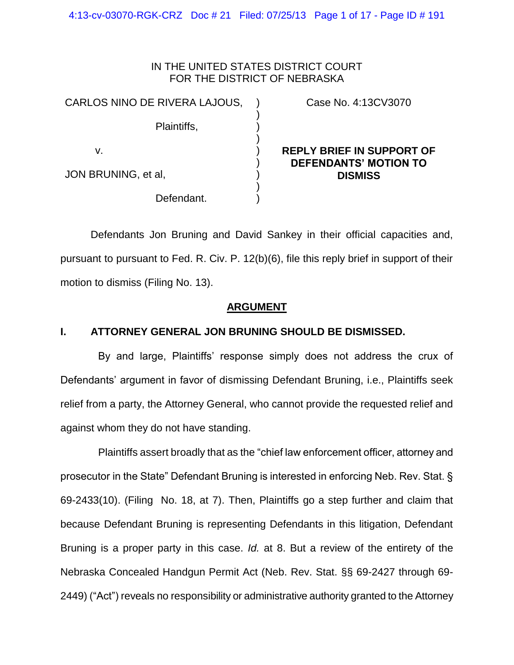4:13-cv-03070-RGK-CRZ Doc # 21 Filed: 07/25/13 Page 1 of 17 - Page ID # 191

## IN THE UNITED STATES DISTRICT COURT FOR THE DISTRICT OF NEBRASKA

| CARLOS NINO DE RIVERA LAJOUS, |  |
|-------------------------------|--|
| Plaintiffs,                   |  |
| v.                            |  |
| JON BRUNING, et al,           |  |

Defendant.

Case No. 4:13CV3070

# **REPLY BRIEF IN SUPPORT OF DEFENDANTS' MOTION TO DISMISS**

Defendants Jon Bruning and David Sankey in their official capacities and, pursuant to pursuant to Fed. R. Civ. P. 12(b)(6), file this reply brief in support of their motion to dismiss (Filing No. 13).

) )

# **ARGUMENT**

# **I. ATTORNEY GENERAL JON BRUNING SHOULD BE DISMISSED.**

By and large, Plaintiffs' response simply does not address the crux of Defendants' argument in favor of dismissing Defendant Bruning, i.e., Plaintiffs seek relief from a party, the Attorney General, who cannot provide the requested relief and against whom they do not have standing.

Plaintiffs assert broadly that as the "chief law enforcement officer, attorney and prosecutor in the State" Defendant Bruning is interested in enforcing Neb. Rev. Stat. § 69-2433(10). (Filing No. 18, at 7). Then, Plaintiffs go a step further and claim that because Defendant Bruning is representing Defendants in this litigation, Defendant Bruning is a proper party in this case. *Id.* at 8. But a review of the entirety of the Nebraska Concealed Handgun Permit Act (Neb. Rev. Stat. §§ 69-2427 through 69- 2449) ("Act") reveals no responsibility or administrative authority granted to the Attorney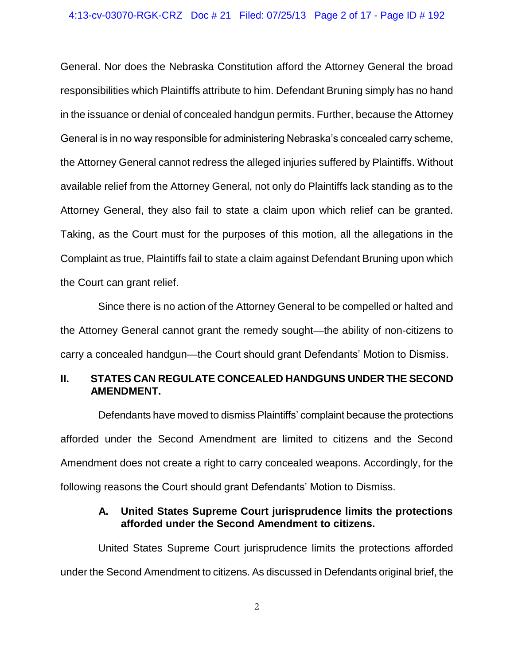General. Nor does the Nebraska Constitution afford the Attorney General the broad responsibilities which Plaintiffs attribute to him. Defendant Bruning simply has no hand in the issuance or denial of concealed handgun permits. Further, because the Attorney General is in no way responsible for administering Nebraska's concealed carry scheme, the Attorney General cannot redress the alleged injuries suffered by Plaintiffs. Without available relief from the Attorney General, not only do Plaintiffs lack standing as to the Attorney General, they also fail to state a claim upon which relief can be granted. Taking, as the Court must for the purposes of this motion, all the allegations in the Complaint as true, Plaintiffs fail to state a claim against Defendant Bruning upon which the Court can grant relief.

Since there is no action of the Attorney General to be compelled or halted and the Attorney General cannot grant the remedy sought—the ability of non-citizens to carry a concealed handgun—the Court should grant Defendants' Motion to Dismiss.

# **II. STATES CAN REGULATE CONCEALED HANDGUNS UNDER THE SECOND AMENDMENT.**

Defendants have moved to dismiss Plaintiffs' complaint because the protections afforded under the Second Amendment are limited to citizens and the Second Amendment does not create a right to carry concealed weapons. Accordingly, for the following reasons the Court should grant Defendants' Motion to Dismiss.

# **A. United States Supreme Court jurisprudence limits the protections afforded under the Second Amendment to citizens.**

United States Supreme Court jurisprudence limits the protections afforded under the Second Amendment to citizens. As discussed in Defendants original brief, the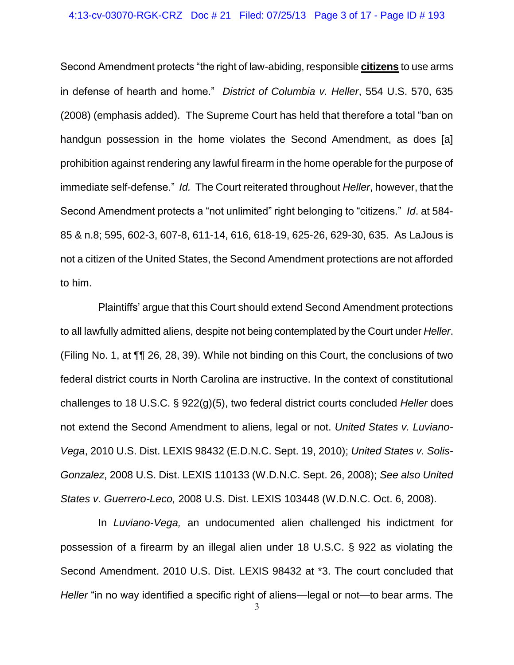Second Amendment protects "the right of law-abiding, responsible **citizens** to use arms in defense of hearth and home." *District of Columbia v. Heller*, 554 U.S. 570, 635 (2008) (emphasis added). The Supreme Court has held that therefore a total "ban on handgun possession in the home violates the Second Amendment, as does [a] prohibition against rendering any lawful firearm in the home operable for the purpose of immediate self-defense." *Id.* The Court reiterated throughout *Heller*, however, that the Second Amendment protects a "not unlimited" right belonging to "citizens." *Id*. at 584- 85 & n.8; 595, 602-3, 607-8, 611-14, 616, 618-19, 625-26, 629-30, 635. As LaJous is not a citizen of the United States, the Second Amendment protections are not afforded to him.

Plaintiffs' argue that this Court should extend Second Amendment protections to all lawfully admitted aliens, despite not being contemplated by the Court under *Heller*. (Filing No. 1, at ¶¶ 26, 28, 39). While not binding on this Court, the conclusions of two federal district courts in North Carolina are instructive. In the context of constitutional challenges to 18 U.S.C. § 922(g)(5), two federal district courts concluded *Heller* does not extend the Second Amendment to aliens, legal or not. *United States v. Luviano-Vega*, 2010 U.S. Dist. LEXIS 98432 (E.D.N.C. Sept. 19, 2010); *United States v. Solis-Gonzalez*, 2008 U.S. Dist. LEXIS 110133 (W.D.N.C. Sept. 26, 2008); *See also United States v. Guerrero-Leco,* 2008 U.S. Dist. LEXIS 103448 (W.D.N.C. Oct. 6, 2008).

3 In *Luviano-Vega,* an undocumented alien challenged his indictment for possession of a firearm by an illegal alien under 18 U.S.C. § 922 as violating the Second Amendment. 2010 U.S. Dist. LEXIS 98432 at \*3. The court concluded that *Heller* "in no way identified a specific right of aliens—legal or not—to bear arms. The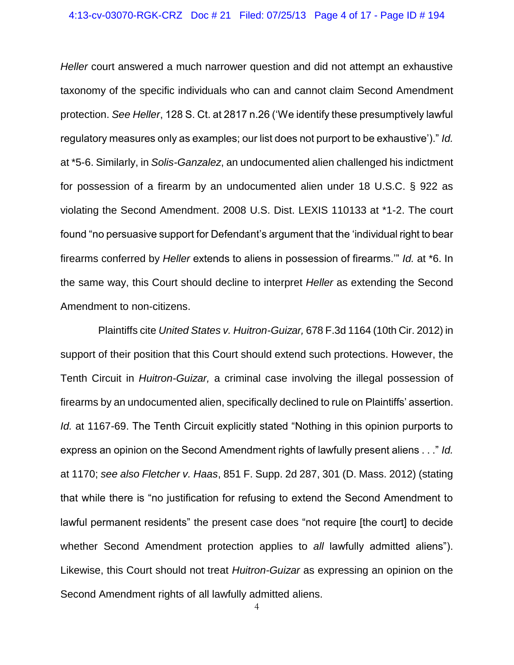*Heller* court answered a much narrower question and did not attempt an exhaustive taxonomy of the specific individuals who can and cannot claim Second Amendment protection. *See Heller*, 128 S. Ct. at 2817 n.26 ('We identify these presumptively lawful regulatory measures only as examples; our list does not purport to be exhaustive')." *Id.* at \*5-6. Similarly, in *Solis-Ganzalez*, an undocumented alien challenged his indictment for possession of a firearm by an undocumented alien under 18 U.S.C. § 922 as violating the Second Amendment. 2008 U.S. Dist. LEXIS 110133 at \*1-2. The court found "no persuasive support for Defendant's argument that the 'individual right to bear firearms conferred by *Heller* extends to aliens in possession of firearms.'" *Id.* at \*6. In the same way, this Court should decline to interpret *Heller* as extending the Second Amendment to non-citizens.

Plaintiffs cite *United States v. Huitron-Guizar,* 678 F.3d 1164 (10th Cir. 2012) in support of their position that this Court should extend such protections. However, the Tenth Circuit in *Huitron-Guizar,* a criminal case involving the illegal possession of firearms by an undocumented alien, specifically declined to rule on Plaintiffs' assertion. *Id.* at 1167-69. The Tenth Circuit explicitly stated "Nothing in this opinion purports to express an opinion on the Second Amendment rights of lawfully present aliens . . ." *Id.* at 1170; *see also Fletcher v. Haas*, 851 F. Supp. 2d 287, 301 (D. Mass. 2012) (stating that while there is "no justification for refusing to extend the Second Amendment to lawful permanent residents" the present case does "not require [the court] to decide whether Second Amendment protection applies to *all* lawfully admitted aliens"). Likewise, this Court should not treat *Huitron-Guizar* as expressing an opinion on the Second Amendment rights of all lawfully admitted aliens.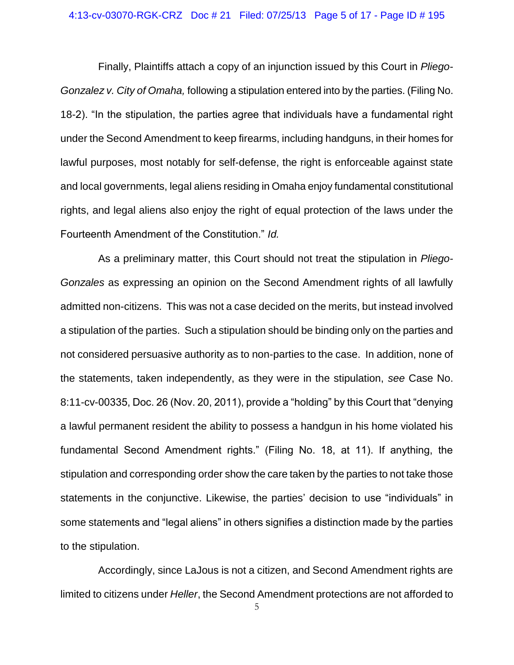### 4:13-cv-03070-RGK-CRZ Doc # 21 Filed: 07/25/13 Page 5 of 17 - Page ID # 195

Finally, Plaintiffs attach a copy of an injunction issued by this Court in *Pliego-Gonzalez v. City of Omaha,* following a stipulation entered into by the parties. (Filing No. 18-2). "In the stipulation, the parties agree that individuals have a fundamental right under the Second Amendment to keep firearms, including handguns, in their homes for lawful purposes, most notably for self-defense, the right is enforceable against state and local governments, legal aliens residing in Omaha enjoy fundamental constitutional rights, and legal aliens also enjoy the right of equal protection of the laws under the Fourteenth Amendment of the Constitution." *Id.*

As a preliminary matter, this Court should not treat the stipulation in *Pliego-Gonzales* as expressing an opinion on the Second Amendment rights of all lawfully admitted non-citizens. This was not a case decided on the merits, but instead involved a stipulation of the parties. Such a stipulation should be binding only on the parties and not considered persuasive authority as to non-parties to the case. In addition, none of the statements, taken independently, as they were in the stipulation, *see* Case No. 8:11-cv-00335, Doc. 26 (Nov. 20, 2011), provide a "holding" by this Court that "denying a lawful permanent resident the ability to possess a handgun in his home violated his fundamental Second Amendment rights." (Filing No. 18, at 11). If anything, the stipulation and corresponding order show the care taken by the parties to not take those statements in the conjunctive. Likewise, the parties' decision to use "individuals" in some statements and "legal aliens" in others signifies a distinction made by the parties to the stipulation.

Accordingly, since LaJous is not a citizen, and Second Amendment rights are limited to citizens under *Heller*, the Second Amendment protections are not afforded to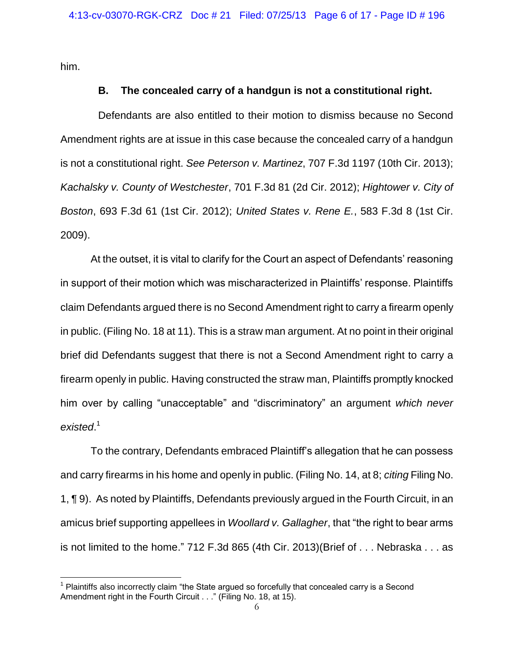him.

 $\overline{a}$ 

## **B. The concealed carry of a handgun is not a constitutional right.**

Defendants are also entitled to their motion to dismiss because no Second Amendment rights are at issue in this case because the concealed carry of a handgun is not a constitutional right. *See Peterson v. Martinez*, 707 F.3d 1197 (10th Cir. 2013); *Kachalsky v. County of Westchester*, 701 F.3d 81 (2d Cir. 2012); *Hightower v. City of Boston*, 693 F.3d 61 (1st Cir. 2012); *United States v. Rene E.*, 583 F.3d 8 (1st Cir. 2009).

At the outset, it is vital to clarify for the Court an aspect of Defendants' reasoning in support of their motion which was mischaracterized in Plaintiffs' response. Plaintiffs claim Defendants argued there is no Second Amendment right to carry a firearm openly in public. (Filing No. 18 at 11). This is a straw man argument. At no point in their original brief did Defendants suggest that there is not a Second Amendment right to carry a firearm openly in public. Having constructed the straw man, Plaintiffs promptly knocked him over by calling "unacceptable" and "discriminatory" an argument *which never existed*. 1

To the contrary, Defendants embraced Plaintiff's allegation that he can possess and carry firearms in his home and openly in public. (Filing No. 14, at 8; *citing* Filing No. 1, ¶ 9). As noted by Plaintiffs, Defendants previously argued in the Fourth Circuit, in an amicus brief supporting appellees in *Woollard v. Gallagher*, that "the right to bear arms is not limited to the home." 712 F.3d 865 (4th Cir. 2013)(Brief of . . . Nebraska . . . as

 $1$  Plaintiffs also incorrectly claim "the State argued so forcefully that concealed carry is a Second Amendment right in the Fourth Circuit . . ." (Filing No. 18, at 15).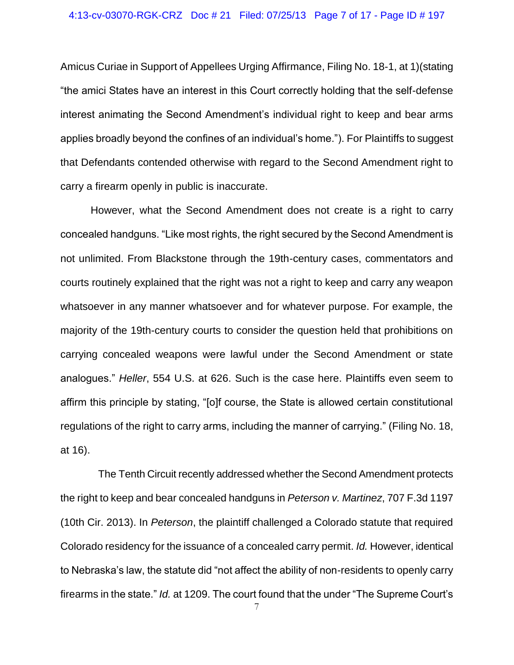Amicus Curiae in Support of Appellees Urging Affirmance, Filing No. 18-1, at 1)(stating "the amici States have an interest in this Court correctly holding that the self-defense interest animating the Second Amendment's individual right to keep and bear arms applies broadly beyond the confines of an individual's home."). For Plaintiffs to suggest that Defendants contended otherwise with regard to the Second Amendment right to carry a firearm openly in public is inaccurate.

However, what the Second Amendment does not create is a right to carry concealed handguns. "Like most rights, the right secured by the Second Amendment is not unlimited. From Blackstone through the 19th-century cases, commentators and courts routinely explained that the right was not a right to keep and carry any weapon whatsoever in any manner whatsoever and for whatever purpose. For example, the majority of the 19th-century courts to consider the question held that prohibitions on carrying concealed weapons were lawful under the Second Amendment or state analogues." *Heller*, 554 U.S. at 626. Such is the case here. Plaintiffs even seem to affirm this principle by stating, "[o]f course, the State is allowed certain constitutional regulations of the right to carry arms, including the manner of carrying." (Filing No. 18, at 16).

The Tenth Circuit recently addressed whether the Second Amendment protects the right to keep and bear concealed handguns in *Peterson v. Martinez*, 707 F.3d 1197 (10th Cir. 2013). In *Peterson*, the plaintiff challenged a Colorado statute that required Colorado residency for the issuance of a concealed carry permit. *Id.* However, identical to Nebraska's law, the statute did "not affect the ability of non-residents to openly carry firearms in the state." *Id.* at 1209. The court found that the under "The Supreme Court's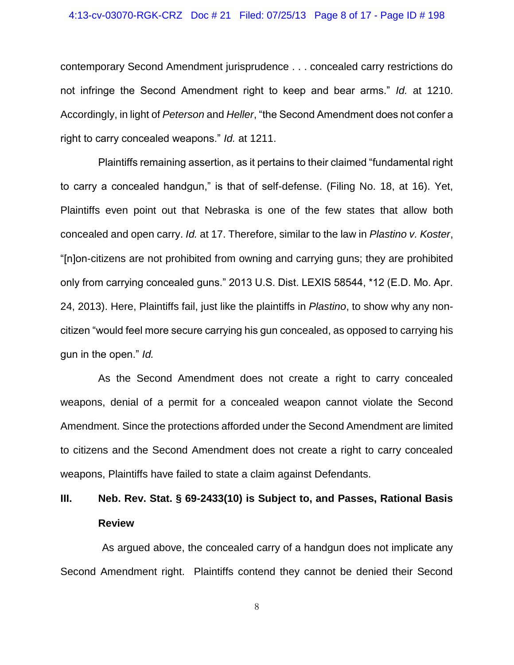### 4:13-cv-03070-RGK-CRZ Doc # 21 Filed: 07/25/13 Page 8 of 17 - Page ID # 198

contemporary Second Amendment jurisprudence . . . concealed carry restrictions do not infringe the Second Amendment right to keep and bear arms." *Id.* at 1210. Accordingly, in light of *Peterson* and *Heller*, "the Second Amendment does not confer a right to carry concealed weapons." *Id.* at 1211.

Plaintiffs remaining assertion, as it pertains to their claimed "fundamental right to carry a concealed handgun," is that of self-defense. (Filing No. 18, at 16). Yet, Plaintiffs even point out that Nebraska is one of the few states that allow both concealed and open carry. *Id.* at 17. Therefore, similar to the law in *Plastino v. Koster*, "[n]on-citizens are not prohibited from owning and carrying guns; they are prohibited only from carrying concealed guns." 2013 U.S. Dist. LEXIS 58544, \*12 (E.D. Mo. Apr. 24, 2013). Here, Plaintiffs fail, just like the plaintiffs in *Plastino*, to show why any noncitizen "would feel more secure carrying his gun concealed, as opposed to carrying his gun in the open." *Id.* 

As the Second Amendment does not create a right to carry concealed weapons, denial of a permit for a concealed weapon cannot violate the Second Amendment. Since the protections afforded under the Second Amendment are limited to citizens and the Second Amendment does not create a right to carry concealed weapons, Plaintiffs have failed to state a claim against Defendants.

# **III. Neb. Rev. Stat. § 69-2433(10) is Subject to, and Passes, Rational Basis Review**

As argued above, the concealed carry of a handgun does not implicate any Second Amendment right. Plaintiffs contend they cannot be denied their Second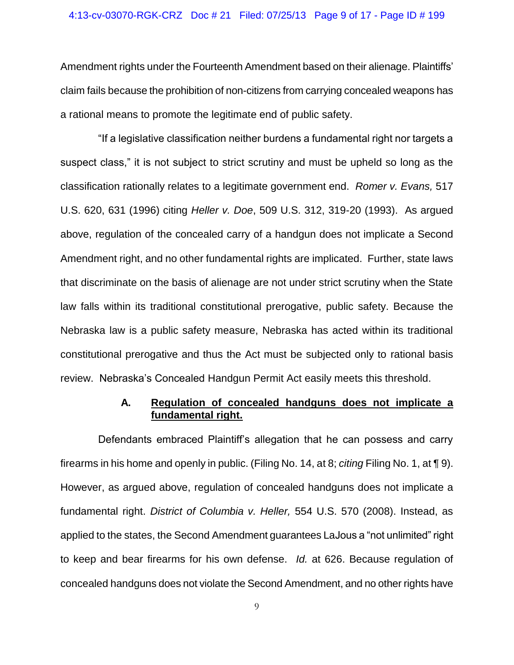#### 4:13-cv-03070-RGK-CRZ Doc # 21 Filed: 07/25/13 Page 9 of 17 - Page ID # 199

Amendment rights under the Fourteenth Amendment based on their alienage. Plaintiffs' claim fails because the prohibition of non-citizens from carrying concealed weapons has a rational means to promote the legitimate end of public safety.

"If a legislative classification neither burdens a fundamental right nor targets a suspect class," it is not subject to strict scrutiny and must be upheld so long as the classification rationally relates to a legitimate government end. *Romer v. Evans,* 517 U.S. 620, 631 (1996) citing *Heller v. Doe*, 509 U.S. 312, 319-20 (1993). As argued above, regulation of the concealed carry of a handgun does not implicate a Second Amendment right, and no other fundamental rights are implicated. Further, state laws that discriminate on the basis of alienage are not under strict scrutiny when the State law falls within its traditional constitutional prerogative, public safety. Because the Nebraska law is a public safety measure, Nebraska has acted within its traditional constitutional prerogative and thus the Act must be subjected only to rational basis review. Nebraska's Concealed Handgun Permit Act easily meets this threshold.

## **A. Regulation of concealed handguns does not implicate a fundamental right.**

Defendants embraced Plaintiff's allegation that he can possess and carry firearms in his home and openly in public. (Filing No. 14, at 8; *citing* Filing No. 1, at ¶ 9). However, as argued above, regulation of concealed handguns does not implicate a fundamental right. *District of Columbia v. Heller,* 554 U.S. 570 (2008). Instead, as applied to the states, the Second Amendment guarantees LaJous a "not unlimited" right to keep and bear firearms for his own defense. *Id.* at 626. Because regulation of concealed handguns does not violate the Second Amendment, and no other rights have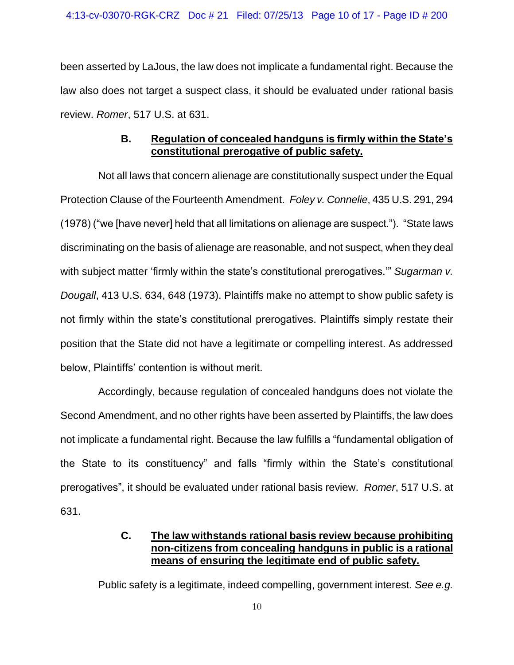been asserted by LaJous, the law does not implicate a fundamental right. Because the law also does not target a suspect class, it should be evaluated under rational basis review. *Romer*, 517 U.S. at 631.

# **B. Regulation of concealed handguns is firmly within the State's constitutional prerogative of public safety.**

Not all laws that concern alienage are constitutionally suspect under the Equal Protection Clause of the Fourteenth Amendment. *Foley v. Connelie*, 435 U.S. 291, 294 (1978) ("we [have never] held that all limitations on alienage are suspect."). "State laws discriminating on the basis of alienage are reasonable, and not suspect, when they deal with subject matter 'firmly within the state's constitutional prerogatives." Sugarman v. *Dougall*, 413 U.S. 634, 648 (1973). Plaintiffs make no attempt to show public safety is not firmly within the state's constitutional prerogatives. Plaintiffs simply restate their position that the State did not have a legitimate or compelling interest. As addressed below, Plaintiffs' contention is without merit.

Accordingly, because regulation of concealed handguns does not violate the Second Amendment, and no other rights have been asserted by Plaintiffs, the law does not implicate a fundamental right. Because the law fulfills a "fundamental obligation of the State to its constituency" and falls "firmly within the State's constitutional prerogatives", it should be evaluated under rational basis review. *Romer*, 517 U.S. at 631.

# **C. The law withstands rational basis review because prohibiting non-citizens from concealing handguns in public is a rational means of ensuring the legitimate end of public safety.**

Public safety is a legitimate, indeed compelling, government interest. *See e.g.*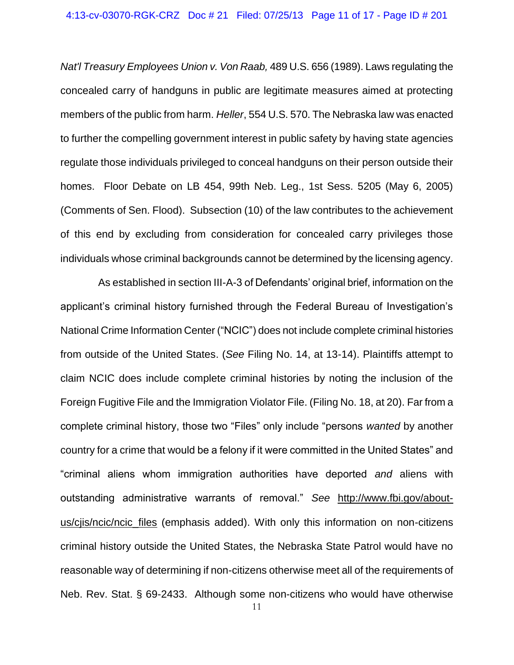*Nat'l Treasury Employees Union v. Von Raab,* 489 U.S. 656 (1989). Laws regulating the concealed carry of handguns in public are legitimate measures aimed at protecting members of the public from harm. *Heller*, 554 U.S. 570. The Nebraska law was enacted to further the compelling government interest in public safety by having state agencies regulate those individuals privileged to conceal handguns on their person outside their homes. Floor Debate on LB 454, 99th Neb. Leg., 1st Sess. 5205 (May 6, 2005) (Comments of Sen. Flood). Subsection (10) of the law contributes to the achievement of this end by excluding from consideration for concealed carry privileges those individuals whose criminal backgrounds cannot be determined by the licensing agency.

As established in section III-A-3 of Defendants' original brief, information on the applicant's criminal history furnished through the Federal Bureau of Investigation's National Crime Information Center ("NCIC") does not include complete criminal histories from outside of the United States. (*See* Filing No. 14, at 13-14). Plaintiffs attempt to claim NCIC does include complete criminal histories by noting the inclusion of the Foreign Fugitive File and the Immigration Violator File. (Filing No. 18, at 20). Far from a complete criminal history, those two "Files" only include "persons *wanted* by another country for a crime that would be a felony if it were committed in the United States" and "criminal aliens whom immigration authorities have deported *and* aliens with outstanding administrative warrants of removal." *See* http://www.fbi.gov/aboutus/ciis/ncic/ncic files (emphasis added). With only this information on non-citizens criminal history outside the United States, the Nebraska State Patrol would have no reasonable way of determining if non-citizens otherwise meet all of the requirements of Neb. Rev. Stat. § 69-2433. Although some non-citizens who would have otherwise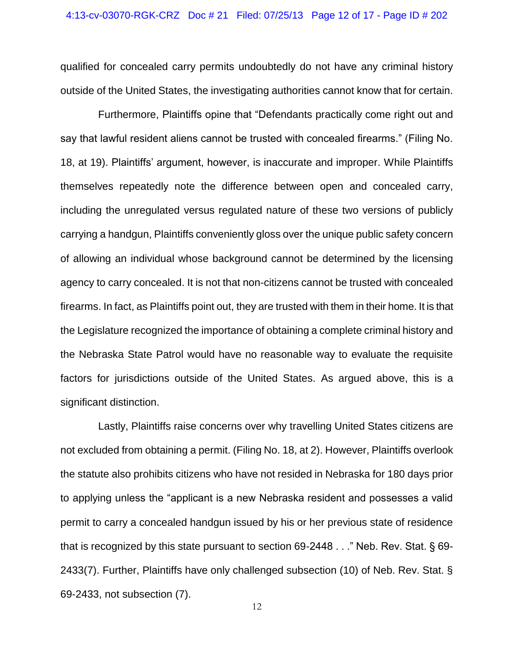qualified for concealed carry permits undoubtedly do not have any criminal history outside of the United States, the investigating authorities cannot know that for certain.

Furthermore, Plaintiffs opine that "Defendants practically come right out and say that lawful resident aliens cannot be trusted with concealed firearms." (Filing No. 18, at 19). Plaintiffs' argument, however, is inaccurate and improper. While Plaintiffs themselves repeatedly note the difference between open and concealed carry, including the unregulated versus regulated nature of these two versions of publicly carrying a handgun, Plaintiffs conveniently gloss over the unique public safety concern of allowing an individual whose background cannot be determined by the licensing agency to carry concealed. It is not that non-citizens cannot be trusted with concealed firearms. In fact, as Plaintiffs point out, they are trusted with them in their home. It is that the Legislature recognized the importance of obtaining a complete criminal history and the Nebraska State Patrol would have no reasonable way to evaluate the requisite factors for jurisdictions outside of the United States. As argued above, this is a significant distinction.

Lastly, Plaintiffs raise concerns over why travelling United States citizens are not excluded from obtaining a permit. (Filing No. 18, at 2). However, Plaintiffs overlook the statute also prohibits citizens who have not resided in Nebraska for 180 days prior to applying unless the "applicant is a new Nebraska resident and possesses a valid permit to carry a concealed handgun issued by his or her previous state of residence that is recognized by this state pursuant to section 69-2448 . . ." Neb. Rev. Stat. § 69- 2433(7). Further, Plaintiffs have only challenged subsection (10) of Neb. Rev. Stat. § 69-2433, not subsection (7).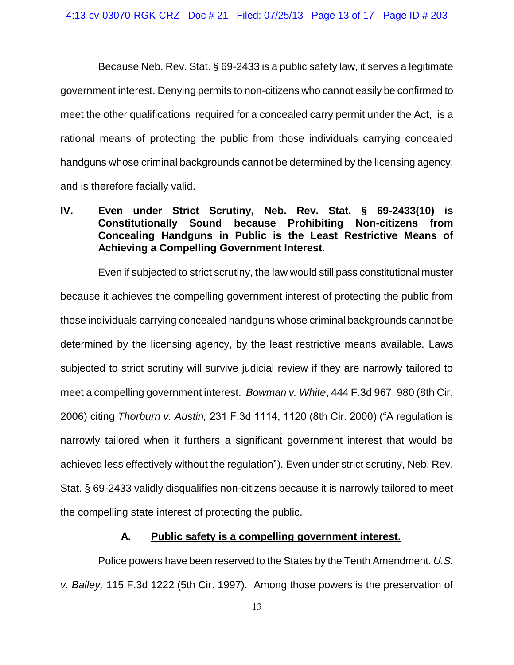Because Neb. Rev. Stat. § 69-2433 is a public safety law, it serves a legitimate government interest. Denying permits to non-citizens who cannot easily be confirmed to meet the other qualifications required for a concealed carry permit under the Act, is a rational means of protecting the public from those individuals carrying concealed handguns whose criminal backgrounds cannot be determined by the licensing agency, and is therefore facially valid.

# **IV. Even under Strict Scrutiny, Neb. Rev. Stat. § 69-2433(10) is Constitutionally Sound because Prohibiting Non-citizens from Concealing Handguns in Public is the Least Restrictive Means of Achieving a Compelling Government Interest.**

Even if subjected to strict scrutiny, the law would still pass constitutional muster because it achieves the compelling government interest of protecting the public from those individuals carrying concealed handguns whose criminal backgrounds cannot be determined by the licensing agency, by the least restrictive means available. Laws subjected to strict scrutiny will survive judicial review if they are narrowly tailored to meet a compelling government interest. *Bowman v. White*, 444 F.3d 967, 980 (8th Cir. 2006) citing *Thorburn v. Austin,* 231 F.3d 1114, 1120 (8th Cir. 2000) ("A regulation is narrowly tailored when it furthers a significant government interest that would be achieved less effectively without the regulation"). Even under strict scrutiny, Neb. Rev. Stat. § 69-2433 validly disqualifies non-citizens because it is narrowly tailored to meet the compelling state interest of protecting the public.

# **A. Public safety is a compelling government interest.**

Police powers have been reserved to the States by the Tenth Amendment. *U.S. v. Bailey,* 115 F.3d 1222 (5th Cir. 1997). Among those powers is the preservation of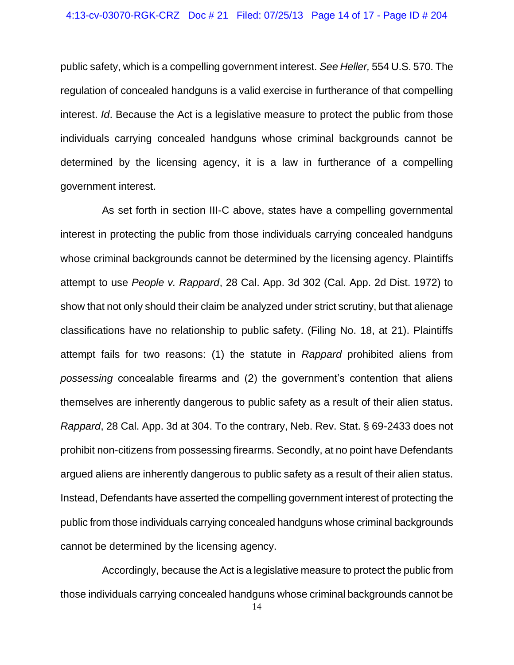### 4:13-cv-03070-RGK-CRZ Doc # 21 Filed: 07/25/13 Page 14 of 17 - Page ID # 204

public safety, which is a compelling government interest. *See Heller,* 554 U.S. 570. The regulation of concealed handguns is a valid exercise in furtherance of that compelling interest. *Id*. Because the Act is a legislative measure to protect the public from those individuals carrying concealed handguns whose criminal backgrounds cannot be determined by the licensing agency, it is a law in furtherance of a compelling government interest.

As set forth in section III-C above, states have a compelling governmental interest in protecting the public from those individuals carrying concealed handguns whose criminal backgrounds cannot be determined by the licensing agency. Plaintiffs attempt to use *People v. Rappard*, 28 Cal. App. 3d 302 (Cal. App. 2d Dist. 1972) to show that not only should their claim be analyzed under strict scrutiny, but that alienage classifications have no relationship to public safety. (Filing No. 18, at 21). Plaintiffs attempt fails for two reasons: (1) the statute in *Rappard* prohibited aliens from *possessing* concealable firearms and (2) the government's contention that aliens themselves are inherently dangerous to public safety as a result of their alien status. *Rappard*, 28 Cal. App. 3d at 304. To the contrary, Neb. Rev. Stat. § 69-2433 does not prohibit non-citizens from possessing firearms. Secondly, at no point have Defendants argued aliens are inherently dangerous to public safety as a result of their alien status. Instead, Defendants have asserted the compelling government interest of protecting the public from those individuals carrying concealed handguns whose criminal backgrounds cannot be determined by the licensing agency.

Accordingly, because the Act is a legislative measure to protect the public from those individuals carrying concealed handguns whose criminal backgrounds cannot be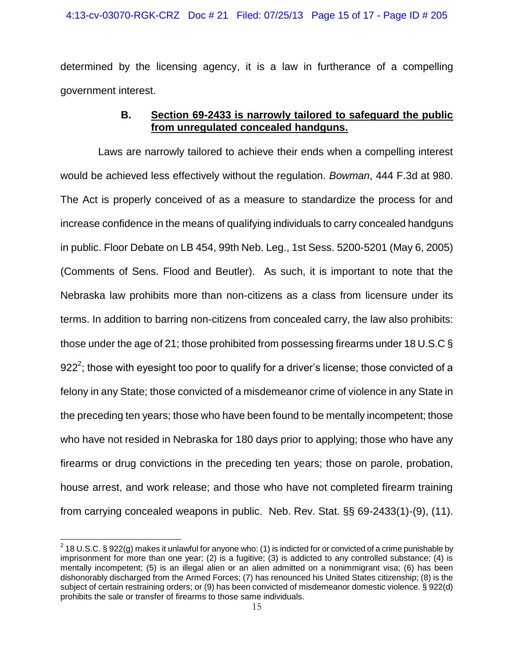determined by the licensing agency, it is a law in furtherance of a compelling government interest.

# **B. Section 69-2433 is narrowly tailored to safeguard the public from unregulated concealed handguns.**

Laws are narrowly tailored to achieve their ends when a compelling interest would be achieved less effectively without the regulation. *Bowman*, 444 F.3d at 980. The Act is properly conceived of as a measure to standardize the process for and increase confidence in the means of qualifying individuals to carry concealed handguns in public. Floor Debate on LB 454, 99th Neb. Leg., 1st Sess. 5200-5201 (May 6, 2005) (Comments of Sens. Flood and Beutler). As such, it is important to note that the Nebraska law prohibits more than non-citizens as a class from licensure under its terms. In addition to barring non-citizens from concealed carry, the law also prohibits: those under the age of 21; those prohibited from possessing firearms under 18 U.S.C § 922<sup>2</sup>; those with eyesight too poor to qualify for a driver's license; those convicted of a felony in any State; those convicted of a misdemeanor crime of violence in any State in the preceding ten years; those who have been found to be mentally incompetent; those who have not resided in Nebraska for 180 days prior to applying; those who have any firearms or drug convictions in the preceding ten years; those on parole, probation, house arrest, and work release; and those who have not completed firearm training from carrying concealed weapons in public. Neb. Rev. Stat. §§ 69-2433(1)-(9), (11).

 $\overline{a}$ 

 $^2$  18 U.S.C. § 922(g) makes it unlawful for anyone who: (1) is indicted for or convicted of a crime punishable by imprisonment for more than one year; (2) is a fugitive; (3) is addicted to any controlled substance; (4) is mentally incompetent; (5) is an illegal alien or an alien admitted on a nonimmigrant visa; (6) has been dishonorably discharged from the Armed Forces; (7) has renounced his United States citizenship; (8) is the subject of certain restraining orders; or (9) has been convicted of misdemeanor domestic violence. § 922(d) prohibits the sale or transfer of firearms to those same individuals.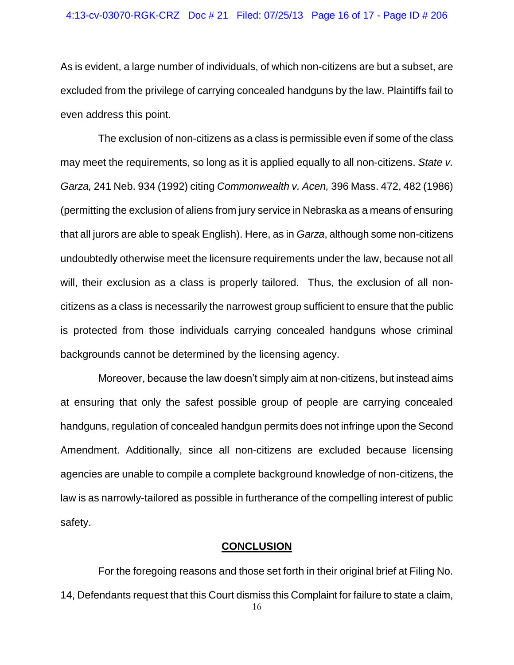### 4:13-cv-03070-RGK-CRZ Doc # 21 Filed: 07/25/13 Page 16 of 17 - Page ID # 206

As is evident, a large number of individuals, of which non-citizens are but a subset, are excluded from the privilege of carrying concealed handguns by the law. Plaintiffs fail to even address this point.

The exclusion of non-citizens as a class is permissible even if some of the class may meet the requirements, so long as it is applied equally to all non-citizens. *State v. Garza,* 241 Neb. 934 (1992) citing *Commonwealth v. Acen,* 396 Mass. 472, 482 (1986) (permitting the exclusion of aliens from jury service in Nebraska as a means of ensuring that all jurors are able to speak English). Here, as in *Garza*, although some non-citizens undoubtedly otherwise meet the licensure requirements under the law, because not all will, their exclusion as a class is properly tailored. Thus, the exclusion of all noncitizens as a class is necessarily the narrowest group sufficient to ensure that the public is protected from those individuals carrying concealed handguns whose criminal backgrounds cannot be determined by the licensing agency.

Moreover, because the law doesn't simply aim at non-citizens, but instead aims at ensuring that only the safest possible group of people are carrying concealed handguns, regulation of concealed handgun permits does not infringe upon the Second Amendment. Additionally, since all non-citizens are excluded because licensing agencies are unable to compile a complete background knowledge of non-citizens, the law is as narrowly-tailored as possible in furtherance of the compelling interest of public safety.

## **CONCLUSION**

For the foregoing reasons and those set forth in their original brief at Filing No. 14, Defendants request that this Court dismiss this Complaint for failure to state a claim,